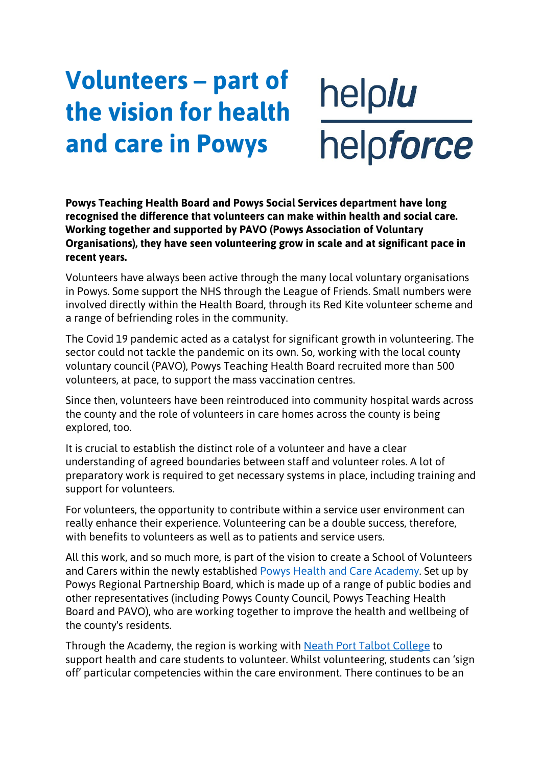## **Volunteers – part of the vision for health and care in Powys**

helplu helpforce

**Powys Teaching Health Board and Powys Social Services department have long recognised the difference that volunteers can make within health and social care. Working together and supported by PAVO (Powys Association of Voluntary Organisations), they have seen volunteering grow in scale and at significant pace in recent years.**

Volunteers have always been active through the many local voluntary organisations in Powys. Some support the NHS through the League of Friends. Small numbers were involved directly within the Health Board, through its Red Kite volunteer scheme and a range of befriending roles in the community.

The Covid 19 pandemic acted as a catalyst for significant growth in volunteering. The sector could not tackle the pandemic on its own. So, working with the local county voluntary council (PAVO), Powys Teaching Health Board recruited more than 500 volunteers, at pace, to support the mass vaccination centres.

Since then, volunteers have been reintroduced into community hospital wards across the county and the role of volunteers in care homes across the county is being explored, too.

It is crucial to establish the distinct role of a volunteer and have a clear understanding of agreed boundaries between staff and volunteer roles. A lot of preparatory work is required to get necessary systems in place, including training and support for volunteers.

For volunteers, the opportunity to contribute within a service user environment can really enhance their experience. Volunteering can be a double success, therefore, with benefits to volunteers as well as to patients and service users.

All this work, and so much more, is part of the vision to create a School of Volunteers and Carers within the newly established [Powys Health and Care Academy.](https://en.powys.gov.uk/article/11233/Regional-Partnership-Board-is-pressing-ahead-with-plans-for-Powys-Health-and-Care-Academy) Set up by Powys Regional Partnership Board, which is made up of a range of public bodies and other representatives (including Powys County Council, Powys Teaching Health Board and PAVO), who are working together to improve the health and wellbeing of the county's residents.

Through the Academy, the region is working with [Neath Port Talbot College](https://www.nptcgroup.ac.uk/?utm_source=localiq&utm_medium=ppc&utm_campaign=search&scid=175974&kw=11536977%3A164970&pub_cr_id=494553515450&device=c&network=g&targetid=kwd-670597913165&loc_interest_ms&loc_physical_ms=1007416&tc=Cj0KCQjwg_iTBhDrARIsAD3Ib5g6u0SyHxB35mewIsFBqZct36wjll5WkrhCn1GHLufpkpIdl-kYwloaArKMEALw_wcB&rl_key=3041148fe8adc8ebafa48e5dbc87b526&gclid=Cj0KCQjwg_iTBhDrARIsAD3Ib5g6u0SyHxB35mewIsFBqZct36wjll5WkrhCn1GHLufpkpIdl-kYwloaArKMEALw_wcB) to support health and care students to volunteer. Whilst volunteering, students can 'sign off' particular competencies within the care environment. There continues to be an